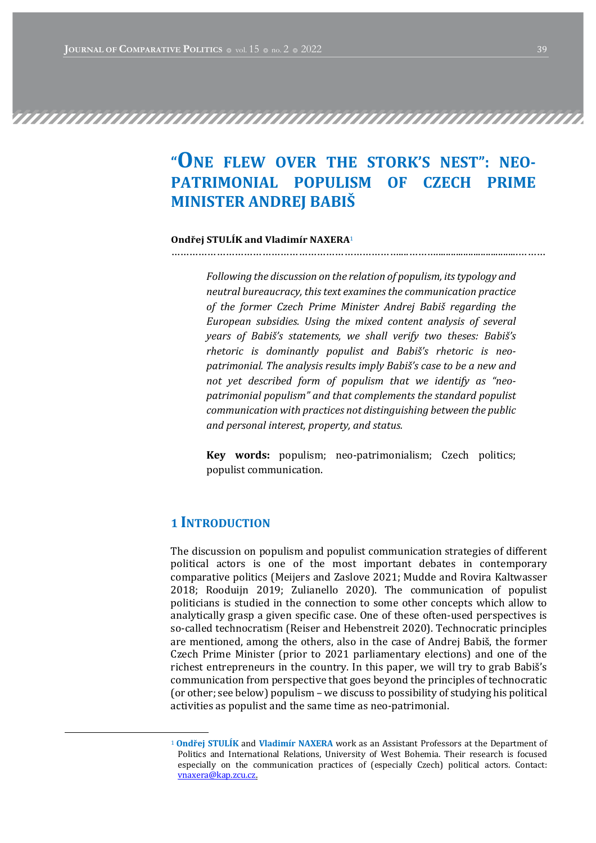# "ONE FLEW OVER THE STORK'S NEST": NEO-PATRIMONIAL POPULISM OF CZECH PRIME **MINISTER ANDREJ BABIS**

#### Ondřej STULÍK and Vladimír NAXERA<sup>1</sup> …………………………………………………………………....……….................................………

Following the discussion on the relation of populism, its typology and neutral bureaucracy, this text examines the communication practice of the former Czech Prime Minister Andrej Babiš regarding the European subsidies. Using the mixed content analysis of several years of Babiš's statements, we shall verify two theses: Babiš's rhetoric is dominantly populist and Babiš's rhetoric is neopatrimonial. The analysis results imply Babiš's case to be a new and not yet described form of populism that we identify as "neopatrimonial populism" and that complements the standard populist communication with practices not distinguishing between the public and personal interest, property, and status.

Key words: populism; neo-patrimonialism; Czech politics; populist communication.

# 1 INTRODUCTION

The discussion on populism and populist communication strategies of different political actors is one of the most important debates in contemporary comparative politics (Meijers and Zaslove 2021; Mudde and Rovira Kaltwasser 2018; Rooduijn 2019; Zulianello 2020). The communication of populist politicians is studied in the connection to some other concepts which allow to analytically grasp a given specific case. One of these often-used perspectives is so-called technocratism (Reiser and Hebenstreit 2020). Technocratic principles are mentioned, among the others, also in the case of Andrej Babiš, the former Czech Prime Minister (prior to 2021 parliamentary elections) and one of the richest entrepreneurs in the country. In this paper, we will try to grab Babiš's communication from perspective that goes beyond the principles of technocratic (or other; see below) populism – we discuss to possibility of studying his political activities as populist and the same time as neo-patrimonial.

<sup>&</sup>lt;sup>1</sup> **Ondřej STULÍK and Vladimír NAXERA** work as an Assistant Professors at the Department of Politics and International Relations, University of West Bohemia. Their research is focused especially on the communication practices of (especially Czech) political actors. Contact: vnaxera@kap.zcu.cz.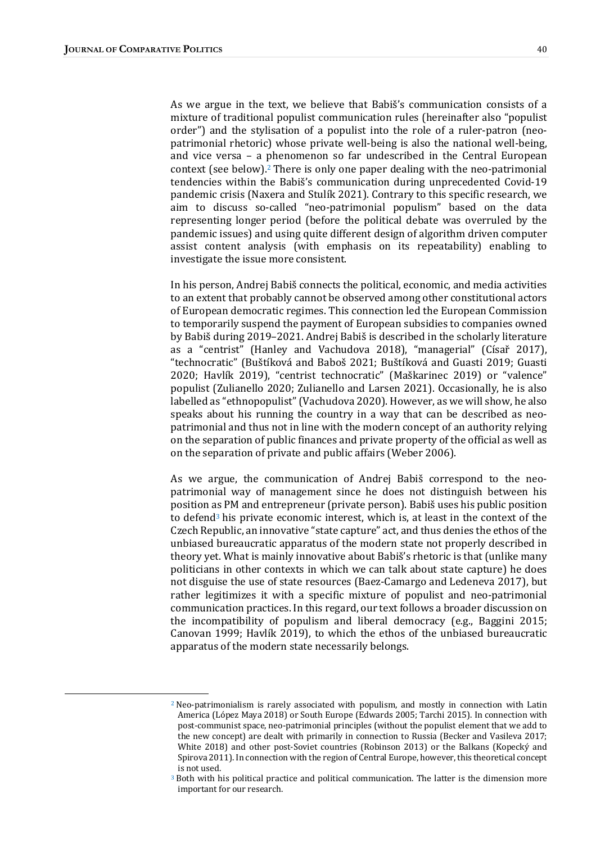As we argue in the text, we believe that Babiš's communication consists of a mixture of traditional populist communication rules (hereinafter also "populist order") and the stylisation of a populist into the role of a ruler-patron (neopatrimonial rhetoric) whose private well-being is also the national well-being, and vice versa  $-$  a phenomenon so far undescribed in the Central European context (see below).<sup>2</sup> There is only one paper dealing with the neo-patrimonial tendencies within the Babiš's communication during unprecedented Covid-19 pandemic crisis (Naxera and Stulík 2021). Contrary to this specific research, we aim to discuss so-called "neo-patrimonial populism" based on the data representing longer period (before the political debate was overruled by the pandemic issues) and using quite different design of algorithm driven computer assist content analysis (with emphasis on its repeatability) enabling to investigate the issue more consistent.

In his person, Andrej Babiš connects the political, economic, and media activities to an extent that probably cannot be observed among other constitutional actors of European democratic regimes. This connection led the European Commission to temporarily suspend the payment of European subsidies to companies owned by Babiš during 2019–2021. Andrej Babiš is described in the scholarly literature as a "centrist" (Hanley and Vachudova 2018), "managerial" (Císař 2017), "technocratic" (Buštíková and Baboš 2021; Buštíková and Guasti 2019; Guasti 2020; Havlík 2019), "centrist technocratic" (Maškarinec 2019) or "valence" populist (Zulianello 2020; Zulianello and Larsen 2021). Occasionally, he is also labelled as "ethnopopulist" (Vachudova 2020). However, as we will show, he also speaks about his running the country in a way that can be described as neopatrimonial and thus not in line with the modern concept of an authority relying on the separation of public finances and private property of the official as well as on the separation of private and public affairs (Weber 2006).

As we argue, the communication of Andrej Babiš correspond to the neopatrimonial way of management since he does not distinguish between his position as PM and entrepreneur (private person). Babiš uses his public position to defend<sup>3</sup> his private economic interest, which is, at least in the context of the Czech Republic, an innovative "state capture" act, and thus denies the ethos of the unbiased bureaucratic apparatus of the modern state not properly described in theory yet. What is mainly innovative about Babiš's rhetoric is that (unlike many politicians in other contexts in which we can talk about state capture) he does not disguise the use of state resources (Baez-Camargo and Ledeneva 2017), but rather legitimizes it with a specific mixture of populist and neo-patrimonial communication practices. In this regard, our text follows a broader discussion on the incompatibility of populism and liberal democracy (e.g., Baggini  $2015$ ; Canovan 1999; Havlík 2019), to which the ethos of the unbiased bureaucratic apparatus of the modern state necessarily belongs.

 $2$  Neo-patrimonialism is rarely associated with populism, and mostly in connection with Latin America (López Maya 2018) or South Europe (Edwards 2005; Tarchi 2015). In connection with post-communist space, neo-patrimonial principles (without the populist element that we add to the new concept) are dealt with primarily in connection to Russia (Becker and Vasileva 2017; White 2018) and other post-Soviet countries (Robinson 2013) or the Balkans (Kopecký and Spirova 2011). In connection with the region of Central Europe, however, this theoretical concept is not used.

 $3$  Both with his political practice and political communication. The latter is the dimension more important for our research.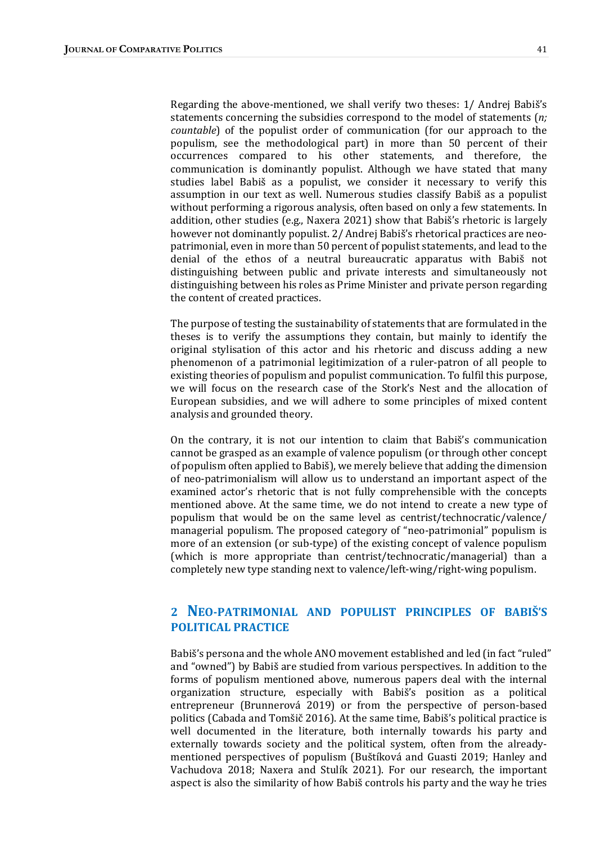Regarding the above-mentioned, we shall verify two theses: 1/ Andrej Babiš's statements concerning the subsidies correspond to the model of statements  $(n;$  $countable)$  of the populist order of communication (for our approach to the populism, see the methodological part) in more than 50 percent of their occurrences compared to his other statements, and therefore, the communication is dominantly populist. Although we have stated that many studies label Babiš as a populist, we consider it necessary to verify this assumption in our text as well. Numerous studies classify Babiš as a populist without performing a rigorous analysis, often based on only a few statements. In addition, other studies (e.g., Naxera 2021) show that Babiš's rhetoric is largely however not dominantly populist. 2/ Andrej Babiš's rhetorical practices are neopatrimonial, even in more than 50 percent of populist statements, and lead to the denial of the ethos of a neutral bureaucratic apparatus with Babiš not distinguishing between public and private interests and simultaneously not distinguishing between his roles as Prime Minister and private person regarding the content of created practices.

The purpose of testing the sustainability of statements that are formulated in the theses is to verify the assumptions they contain, but mainly to identify the original stylisation of this actor and his rhetoric and discuss adding a new phenomenon of a patrimonial legitimization of a ruler-patron of all people to existing theories of populism and populist communication. To fulfil this purpose, we will focus on the research case of the Stork's Nest and the allocation of European subsidies, and we will adhere to some principles of mixed content analysis and grounded theory.

On the contrary, it is not our intention to claim that Babiš's communication cannot be grasped as an example of valence populism (or through other concept of populism often applied to Babiš), we merely believe that adding the dimension of neo-patrimonialism will allow us to understand an important aspect of the examined actor's rhetoric that is not fully comprehensible with the concepts mentioned above. At the same time, we do not intend to create a new type of populism that would be on the same level as centrist/technocratic/valence/ managerial populism. The proposed category of "neo-patrimonial" populism is more of an extension (or sub-type) of the existing concept of valence populism (which is more appropriate than centrist/technocratic/managerial) than a completely new type standing next to valence/left-wing/right-wing populism.

# 2 **NEO-PATRIMONIAL AND POPULIST PRINCIPLES OF BABIS'S** POLITICAL PRACTICE

Babiš's persona and the whole ANO movement established and led (in fact "ruled" and "owned") by Babiš are studied from various perspectives. In addition to the forms of populism mentioned above, numerous papers deal with the internal organization structure, especially with Babiš's position as a political entrepreneur (Brunnerová 2019) or from the perspective of person-based politics (Cabada and Tomšič 2016). At the same time, Babiš's political practice is well documented in the literature, both internally towards his party and externally towards society and the political system, often from the alreadymentioned perspectives of populism (Buštíková and Guasti 2019; Hanley and Vachudova 2018; Naxera and Stulík 2021). For our research, the important aspect is also the similarity of how Babiš controls his party and the way he tries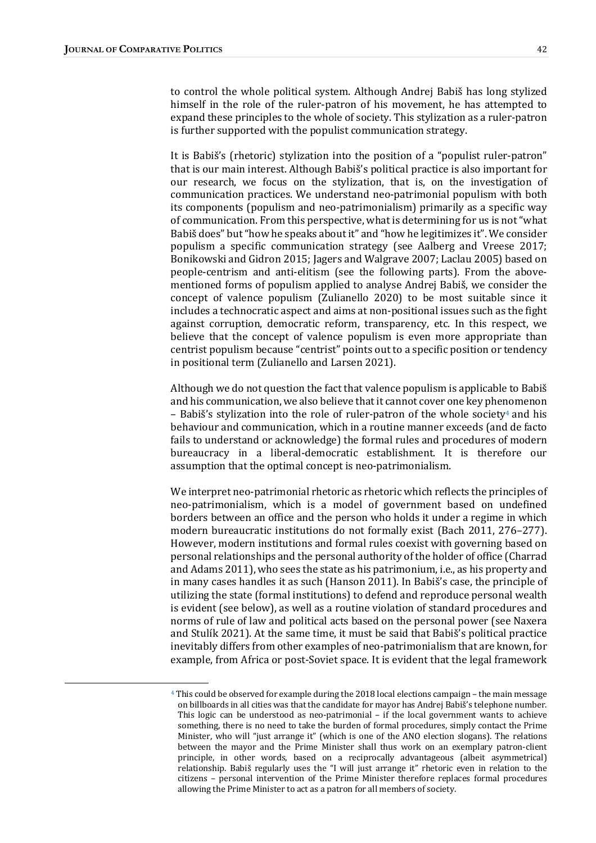to control the whole political system. Although Andrej Babiš has long stylized himself in the role of the ruler-patron of his movement, he has attempted to expand these principles to the whole of society. This stylization as a ruler-patron is further supported with the populist communication strategy.

It is Babiš's (rhetoric) stylization into the position of a "populist ruler-patron" that is our main interest. Although Babiš's political practice is also important for our research, we focus on the stylization, that is, on the investigation of communication practices. We understand neo-patrimonial populism with both its components (populism and neo-patrimonialism) primarily as a specific way of communication. From this perspective, what is determining for us is not "what Babiš does" but "how he speaks about it" and "how he legitimizes it". We consider populism a specific communication strategy (see Aalberg and Vreese 2017; Bonikowski and Gidron 2015; Jagers and Walgrave 2007; Laclau 2005) based on people-centrism and anti-elitism (see the following parts). From the abovementioned forms of populism applied to analyse Andrej Babiš, we consider the concept of valence populism (Zulianello 2020) to be most suitable since it includes a technocratic aspect and aims at non-positional issues such as the fight against corruption, democratic reform, transparency, etc. In this respect, we believe that the concept of valence populism is even more appropriate than centrist populism because "centrist" points out to a specific position or tendency in positional term (Zulianello and Larsen 2021).

Although we do not question the fact that valence populism is applicable to Babiš and his communication, we also believe that it cannot cover one key phenomenon – Babiš's stylization into the role of ruler-patron of the whole society<sup>4</sup> and his behaviour and communication, which in a routine manner exceeds (and de facto fails to understand or acknowledge) the formal rules and procedures of modern bureaucracy in a liberal-democratic establishment. It is therefore our assumption that the optimal concept is neo-patrimonialism.

We interpret neo-patrimonial rhetoric as rhetoric which reflects the principles of neo-patrimonialism, which is a model of government based on undefined borders between an office and the person who holds it under a regime in which modern bureaucratic institutions do not formally exist (Bach 2011, 276–277). However, modern institutions and formal rules coexist with governing based on personal relationships and the personal authority of the holder of office (Charrad and Adams 2011), who sees the state as his patrimonium, i.e., as his property and in many cases handles it as such (Hanson 2011). In Babiš's case, the principle of utilizing the state (formal institutions) to defend and reproduce personal wealth is evident (see below), as well as a routine violation of standard procedures and norms of rule of law and political acts based on the personal power (see Naxera and Stulík 2021). At the same time, it must be said that Babiš's political practice inevitably differs from other examples of neo-patrimonialism that are known, for example, from Africa or post-Soviet space. It is evident that the legal framework

<sup>&</sup>lt;sup>4</sup> This could be observed for example during the 2018 local elections campaign – the main message on billboards in all cities was that the candidate for mayor has Andrej Babiš's telephone number. This logic can be understood as neo-patrimonial  $-$  if the local government wants to achieve something, there is no need to take the burden of formal procedures, simply contact the Prime Minister, who will "just arrange it" (which is one of the ANO election slogans). The relations between the mayor and the Prime Minister shall thus work on an exemplary patron-client principle, in other words, based on a reciprocally advantageous (albeit asymmetrical) relationship. Babiš regularly uses the "I will just arrange it" rhetoric even in relation to the citizens – personal intervention of the Prime Minister therefore replaces formal procedures allowing the Prime Minister to act as a patron for all members of society.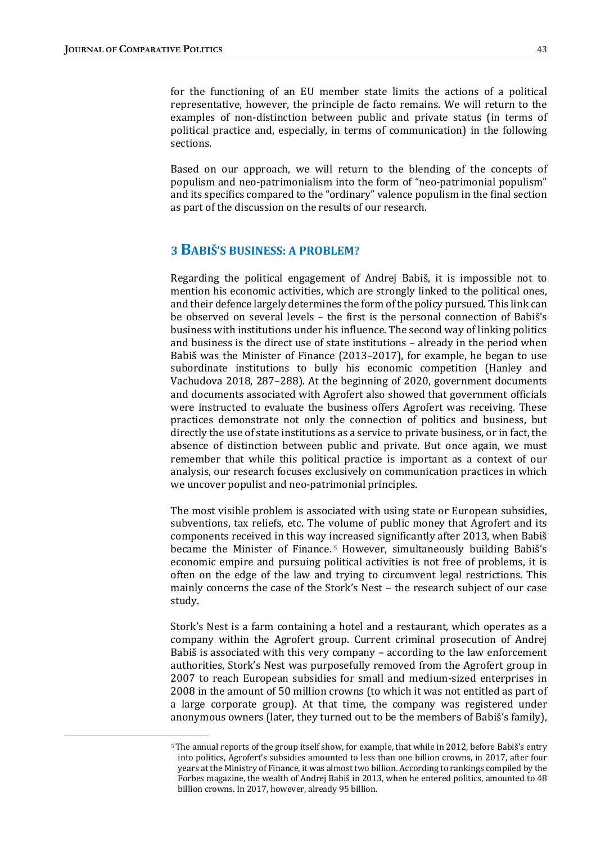for the functioning of an EU member state limits the actions of a political representative, however, the principle de facto remains. We will return to the examples of non-distinction between public and private status (in terms of political practice and, especially, in terms of communication) in the following sections.

Based on our approach, we will return to the blending of the concepts of populism and neo-patrimonialism into the form of "neo-patrimonial populism" and its specifics compared to the "ordinary" valence populism in the final section as part of the discussion on the results of our research.

## 3 **BABIŠ'S BUSINESS: A PROBLEM?**

Regarding the political engagement of Andrej Babiš, it is impossible not to mention his economic activities, which are strongly linked to the political ones, and their defence largely determines the form of the policy pursued. This link can be observed on several levels  $-$  the first is the personal connection of Babiš's business with institutions under his influence. The second way of linking politics and business is the direct use of state institutions  $-$  already in the period when Babiš was the Minister of Finance  $(2013–2017)$ , for example, he began to use subordinate institutions to bully his economic competition (Hanley and Vachudova 2018, 287–288). At the beginning of 2020, government documents and documents associated with Agrofert also showed that government officials were instructed to evaluate the business offers Agrofert was receiving. These practices demonstrate not only the connection of politics and business, but directly the use of state institutions as a service to private business, or in fact, the absence of distinction between public and private. But once again, we must remember that while this political practice is important as a context of our analysis, our research focuses exclusively on communication practices in which we uncover populist and neo-patrimonial principles.

The most visible problem is associated with using state or European subsidies, subventions, tax reliefs, etc. The volume of public money that Agrofert and its components received in this way increased significantly after 2013, when Babiš became the Minister of Finance.<sup>5</sup> However, simultaneously building Babiš's economic empire and pursuing political activities is not free of problems, it is often on the edge of the law and trying to circumvent legal restrictions. This mainly concerns the case of the Stork's Nest – the research subject of our case study.

Stork's Nest is a farm containing a hotel and a restaurant, which operates as a company within the Agrofert group. Current criminal prosecution of Andrej Babiš is associated with this very company  $-$  according to the law enforcement authorities, Stork's Nest was purposefully removed from the Agrofert group in 2007 to reach European subsidies for small and medium-sized enterprises in 2008 in the amount of 50 million crowns (to which it was not entitled as part of a large corporate group). At that time, the company was registered under anonymous owners (later, they turned out to be the members of Babiš's family),

 $5$  The annual reports of the group itself show, for example, that while in 2012, before Babiš's entry into politics, Agrofert's subsidies amounted to less than one billion crowns, in 2017, after four years at the Ministry of Finance, it was almost two billion. According to rankings compiled by the Forbes magazine, the wealth of Andrej Babiš in 2013, when he entered politics, amounted to 48 billion crowns. In 2017, however, already 95 billion.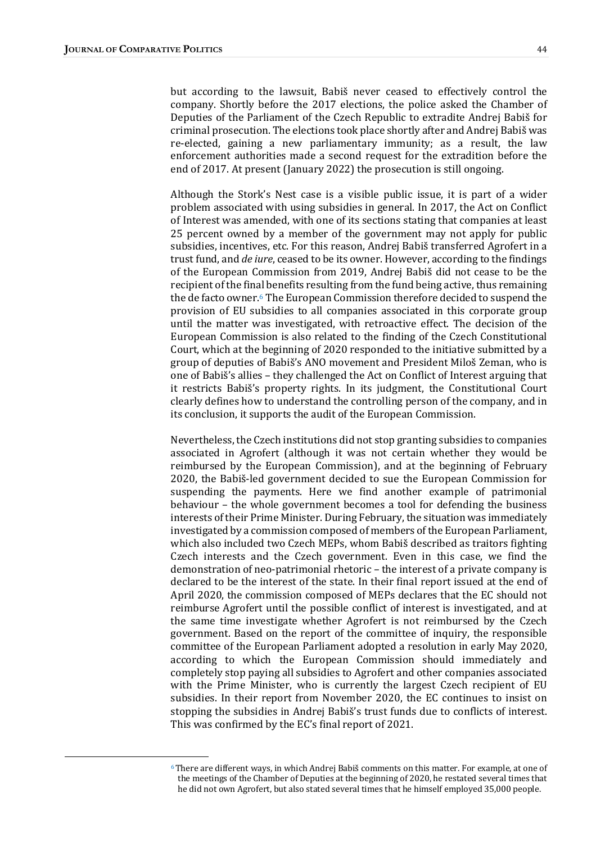but according to the lawsuit, Babiš never ceased to effectively control the company. Shortly before the 2017 elections, the police asked the Chamber of Deputies of the Parliament of the Czech Republic to extradite Andrej Babiš for criminal prosecution. The elections took place shortly after and Andrej Babiš was re-elected, gaining a new parliamentary immunity; as a result, the law enforcement authorities made a second request for the extradition before the end of 2017. At present (January 2022) the prosecution is still ongoing.

Although the Stork's Nest case is a visible public issue, it is part of a wider problem associated with using subsidies in general. In 2017, the Act on Conflict of Interest was amended, with one of its sections stating that companies at least 25 percent owned by a member of the government may not apply for public subsidies, incentives, etc. For this reason, Andrej Babiš transferred Agrofert in a trust fund, and *de iure*, ceased to be its owner. However, according to the findings of the European Commission from 2019, Andrej Babiš did not cease to be the recipient of the final benefits resulting from the fund being active, thus remaining the de facto owner.<sup>6</sup> The European Commission therefore decided to suspend the provision of EU subsidies to all companies associated in this corporate group until the matter was investigated, with retroactive effect. The decision of the European Commission is also related to the finding of the Czech Constitutional Court, which at the beginning of 2020 responded to the initiative submitted by a group of deputies of Babiš's ANO movement and President Miloš Zeman, who is one of Babiš's allies – they challenged the Act on Conflict of Interest arguing that it restricts Babiš's property rights. In its judgment, the Constitutional Court clearly defines how to understand the controlling person of the company, and in its conclusion, it supports the audit of the European Commission.

Nevertheless, the Czech institutions did not stop granting subsidies to companies associated in Agrofert (although it was not certain whether they would be reimbursed by the European Commission), and at the beginning of February 2020, the Babiš-led government decided to sue the European Commission for suspending the payments. Here we find another example of patrimonial behaviour – the whole government becomes a tool for defending the business interests of their Prime Minister. During February, the situation was immediately investigated by a commission composed of members of the European Parliament, which also included two Czech MEPs, whom Babiš described as traitors fighting Czech interests and the Czech government. Even in this case, we find the demonstration of neo-patrimonial rhetoric – the interest of a private company is declared to be the interest of the state. In their final report issued at the end of April 2020, the commission composed of MEPs declares that the EC should not reimburse Agrofert until the possible conflict of interest is investigated, and at the same time investigate whether Agrofert is not reimbursed by the Czech government. Based on the report of the committee of inquiry, the responsible committee of the European Parliament adopted a resolution in early May 2020, according to which the European Commission should immediately and completely stop paying all subsidies to Agrofert and other companies associated with the Prime Minister, who is currently the largest Czech recipient of EU subsidies. In their report from November 2020, the EC continues to insist on stopping the subsidies in Andrej Babiš's trust funds due to conflicts of interest. This was confirmed by the EC's final report of 2021.

 $6$ There are different ways, in which Andrej Babiš comments on this matter. For example, at one of the meetings of the Chamber of Deputies at the beginning of 2020, he restated several times that he did not own Agrofert, but also stated several times that he himself employed 35,000 people.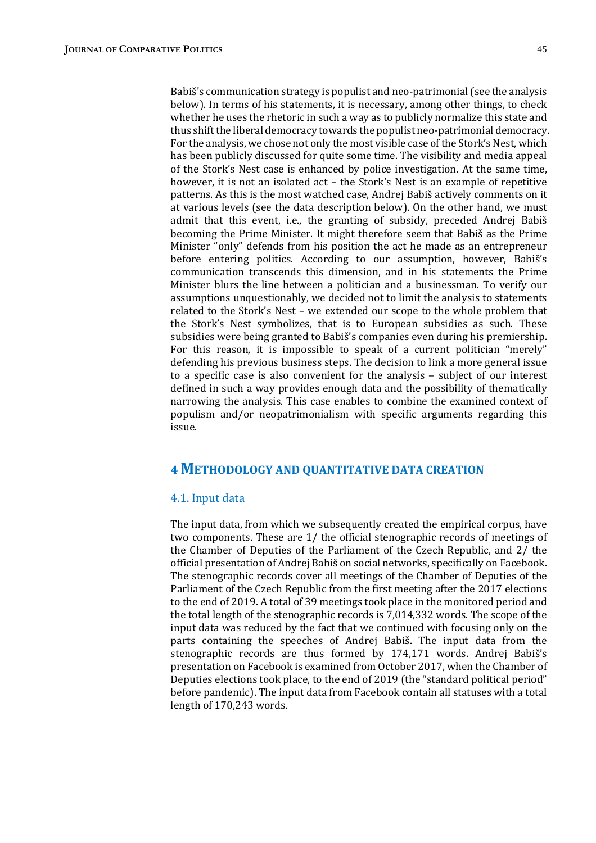Babiš's communication strategy is populist and neo-patrimonial (see the analysis below). In terms of his statements, it is necessary, among other things, to check whether he uses the rhetoric in such a way as to publicly normalize this state and thus shift the liberal democracy towards the populist neo-patrimonial democracy. For the analysis, we chose not only the most visible case of the Stork's Nest, which has been publicly discussed for quite some time. The visibility and media appeal of the Stork's Nest case is enhanced by police investigation. At the same time, however, it is not an isolated act – the Stork's Nest is an example of repetitive patterns. As this is the most watched case, Andrej Babiš actively comments on it at various levels (see the data description below). On the other hand, we must admit that this event, i.e., the granting of subsidy, preceded Andrej Babiš becoming the Prime Minister. It might therefore seem that Babiš as the Prime Minister "only" defends from his position the act he made as an entrepreneur before entering politics. According to our assumption, however, Babiš's communication transcends this dimension, and in his statements the Prime Minister blurs the line between a politician and a businessman. To verify our assumptions unquestionably, we decided not to limit the analysis to statements related to the Stork's Nest – we extended our scope to the whole problem that the Stork's Nest symbolizes, that is to European subsidies as such. These subsidies were being granted to Babiš's companies even during his premiership. For this reason, it is impossible to speak of a current politician "merely" defending his previous business steps. The decision to link a more general issue to a specific case is also convenient for the analysis  $-$  subject of our interest defined in such a way provides enough data and the possibility of thematically narrowing the analysis. This case enables to combine the examined context of populism and/or neopatrimonialism with specific arguments regarding this issue.

# **4 METHODOLOGY AND QUANTITATIVE DATA CREATION**

#### 4.1. Input data

The input data, from which we subsequently created the empirical corpus, have two components. These are 1/ the official stenographic records of meetings of the Chamber of Deputies of the Parliament of the Czech Republic, and  $2/$  the official presentation of Andrej Babiš on social networks, specifically on Facebook. The stenographic records cover all meetings of the Chamber of Deputies of the Parliament of the Czech Republic from the first meeting after the 2017 elections to the end of 2019. A total of 39 meetings took place in the monitored period and the total length of the stenographic records is  $7,014,332$  words. The scope of the input data was reduced by the fact that we continued with focusing only on the parts containing the speeches of Andrej Babiš. The input data from the stenographic records are thus formed by 174,171 words. Andrej Babiš's presentation on Facebook is examined from October 2017, when the Chamber of Deputies elections took place, to the end of 2019 (the "standard political period" before pandemic). The input data from Facebook contain all statuses with a total length of 170,243 words.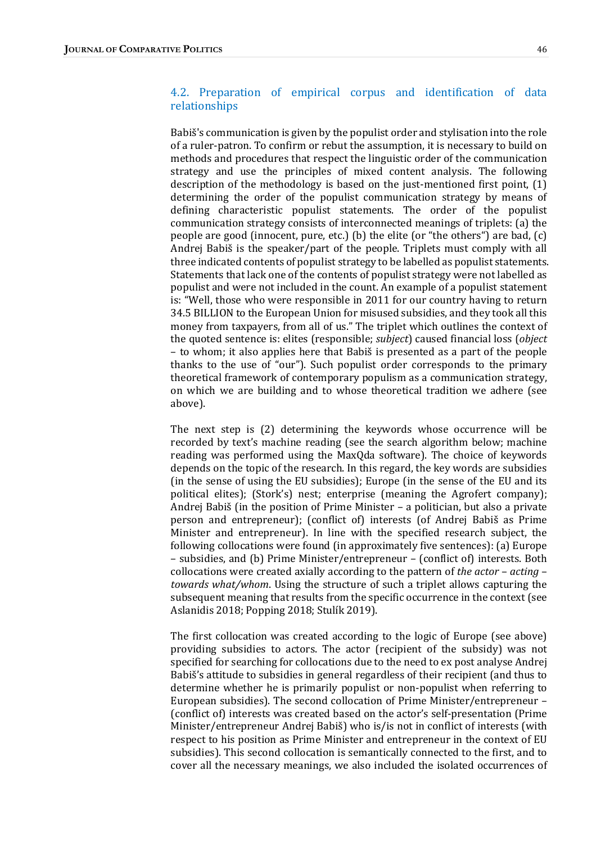## 4.2. Preparation of empirical corpus and identification of data relationships

Babiš's communication is given by the populist order and stylisation into the role of a ruler-patron. To confirm or rebut the assumption, it is necessary to build on methods and procedures that respect the linguistic order of the communication strategy and use the principles of mixed content analysis. The following description of the methodology is based on the just-mentioned first point,  $(1)$ determining the order of the populist communication strategy by means of defining characteristic populist statements. The order of the populist communication strategy consists of interconnected meanings of triplets: (a) the people are good (innocent, pure, etc.) (b) the elite (or "the others") are bad,  $(c)$ Andrej Babiš is the speaker/part of the people. Triplets must comply with all three indicated contents of populist strategy to be labelled as populist statements. Statements that lack one of the contents of populist strategy were not labelled as populist and were not included in the count. An example of a populist statement is: "Well, those who were responsible in 2011 for our country having to return 34.5 BILLION to the European Union for misused subsidies, and they took all this money from taxpayers, from all of us." The triplet which outlines the context of the quoted sentence is: elites (responsible; *subject*) caused financial loss (*object*) – to whom; it also applies here that Babiš is presented as a part of the people thanks to the use of "our"). Such populist order corresponds to the primary theoretical framework of contemporary populism as a communication strategy, on which we are building and to whose theoretical tradition we adhere (see above).

The next step is  $(2)$  determining the keywords whose occurrence will be recorded by text's machine reading (see the search algorithm below; machine reading was performed using the MaxQda software). The choice of keywords depends on the topic of the research. In this regard, the key words are subsidies (in the sense of using the EU subsidies); Europe (in the sense of the EU and its political elites); (Stork's) nest; enterprise (meaning the Agrofert company); Andrej Babiš (in the position of Prime Minister  $-$  a politician, but also a private person and entrepreneur); (conflict of) interests (of Andrej Babiš as Prime Minister and entrepreneur). In line with the specified research subject, the following collocations were found (in approximately five sentences): (a) Europe – subsidies, and (b) Prime Minister/entrepreneur – (conflict of) interests. Both collocations were created axially according to the pattern of the actor – acting – towards what/whom. Using the structure of such a triplet allows capturing the subsequent meaning that results from the specific occurrence in the context (see Aslanidis 2018; Popping 2018; Stulík 2019).

The first collocation was created according to the logic of Europe (see above) providing subsidies to actors. The actor (recipient of the subsidy) was not specified for searching for collocations due to the need to ex post analyse Andrej Babiš's attitude to subsidies in general regardless of their recipient (and thus to determine whether he is primarily populist or non-populist when referring to European subsidies). The second collocation of Prime Minister/entrepreneur – (conflict of) interests was created based on the actor's self-presentation (Prime Minister/entrepreneur Andrej Babiš) who is/is not in conflict of interests (with respect to his position as Prime Minister and entrepreneur in the context of EU subsidies). This second collocation is semantically connected to the first, and to cover all the necessary meanings, we also included the isolated occurrences of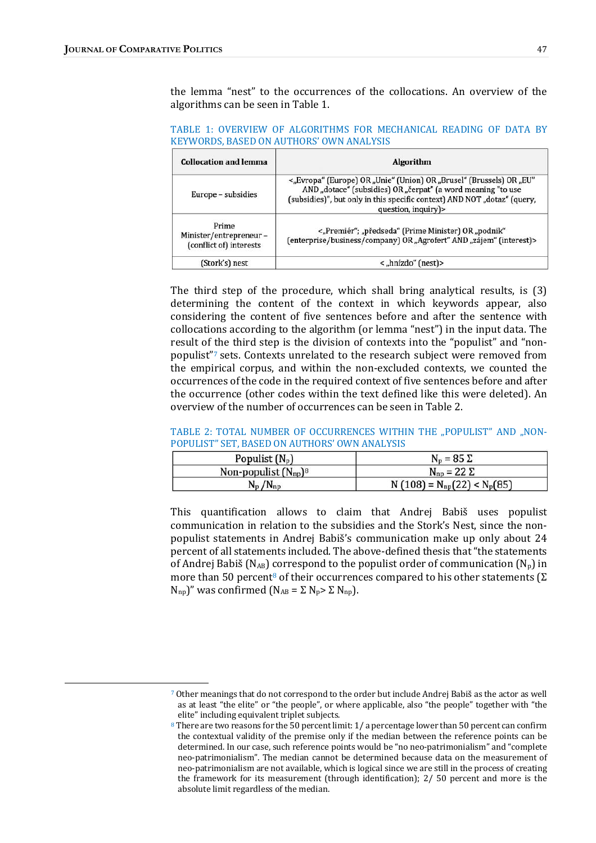the lemma "nest" to the occurrences of the collocations. An overview of the algorithms can be seen in Table 1.

TABLE 1: OVERVIEW OF ALGORITHMS FOR MECHANICAL READING OF DATA BY KEYWORDS, BASED ON AUTHORS' OWN ANALYSIS

| <b>Collocation and lemma</b>                               | Algorithm<br><"Evropa" (Europe) OR "Unie" (Union) OR "Brusel" (Brussels) OR "EU"<br>AND "dotace" (subsidies) OR "čerpat" (a word meaning "to use<br>(subsidies)", but only in this specific context) AND NOT "dotaz" (query,<br>question, inquiry)> |  |  |  |
|------------------------------------------------------------|-----------------------------------------------------------------------------------------------------------------------------------------------------------------------------------------------------------------------------------------------------|--|--|--|
| Europe - subsidies                                         |                                                                                                                                                                                                                                                     |  |  |  |
| Prime<br>Minister/entrepreneur-<br>(conflict of) interests | <"Premiér"; "předseda" (Prime Minister) OR "podnik"<br>(enterprise/business/company) OR "Agrofert" AND "zájem" (interest)>                                                                                                                          |  |  |  |
| (Stork's) nest                                             | $\langle$ "hnízdo" (nest)                                                                                                                                                                                                                           |  |  |  |

The third step of the procedure, which shall bring analytical results, is  $(3)$ determining the content of the context in which keywords appear, also considering the content of five sentences before and after the sentence with collocations according to the algorithm (or lemma "nest") in the input data. The result of the third step is the division of contexts into the "populist" and "nonpopulist"7 sets. Contexts unrelated to the research subject were removed from the empirical corpus, and within the non-excluded contexts, we counted the occurrences of the code in the required context of five sentences before and after the occurrence (other codes within the text defined like this were deleted). An overview of the number of occurrences can be seen in Table 2.

#### TABLE 2: TOTAL NUMBER OF OCCURRENCES WITHIN THE "POPULIST" AND "NON-POPULIST" SET, BASED ON AUTHORS' OWN ANALYSIS

| Populist $(N_p)$          | $N_p = 85 \Sigma$               |  |  |
|---------------------------|---------------------------------|--|--|
| Non-populist $(N_{np})^8$ | $N_{np} = 22 \Sigma$            |  |  |
| $N_p/N_{np}$              | $N(108) = N_{np}(22) < N_p(85)$ |  |  |

This quantification allows to claim that Andrej Babiš uses populist communication in relation to the subsidies and the Stork's Nest, since the nonpopulist statements in Andrej Babiš's communication make up only about 24 percent of all statements included. The above-defined thesis that "the statements of Andrej Babiš  $(N_{AB})$  correspond to the populist order of communication  $(N_p)$  in more than 50 percent<sup>8</sup> of their occurrences compared to his other statements  $(\Sigma)$  $N_{np}$ )" was confirmed  $(N_{AB} = \Sigma N_p > \Sigma N_{np})$ .

<sup>7</sup> Other meanings that do not correspond to the order but include Andrej Babiš as the actor as well as at least "the elite" or "the people", or where applicable, also "the people" together with "the elite" including equivalent triplet subjects.

<sup>&</sup>lt;sup>8</sup> There are two reasons for the 50 percent limit:  $1/a$  percentage lower than 50 percent can confirm the contextual validity of the premise only if the median between the reference points can be determined. In our case, such reference points would be "no neo-patrimonialism" and "complete neo-patrimonialism". The median cannot be determined because data on the measurement of neo-patrimonialism are not available, which is logical since we are still in the process of creating the framework for its measurement (through identification);  $2/50$  percent and more is the absolute limit regardless of the median.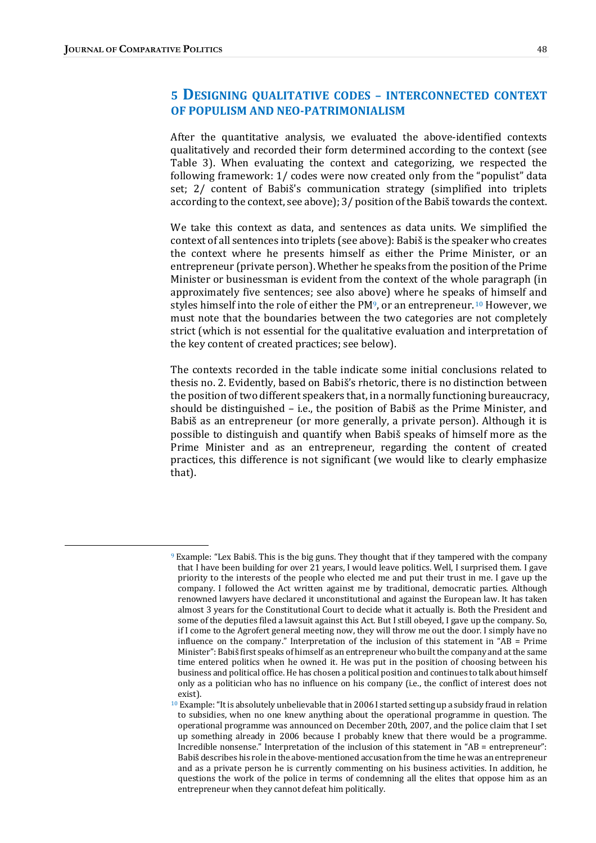# 5 DESIGNING QUALITATIVE CODES - INTERCONNECTED CONTEXT OF POPULISM AND NEO-PATRIMONIALISM

After the quantitative analysis, we evaluated the above-identified contexts qualitatively and recorded their form determined according to the context (see Table 3). When evaluating the context and categorizing, we respected the following framework: 1/ codes were now created only from the "populist" data set; 2/ content of Babiš's communication strategy (simplified into triplets according to the context, see above);  $3/$  position of the Babiš towards the context.

We take this context as data, and sentences as data units. We simplified the context of all sentences into triplets (see above): Babiš is the speaker who creates the context where he presents himself as either the Prime Minister, or an entrepreneur (private person). Whether he speaks from the position of the Prime Minister or businessman is evident from the context of the whole paragraph (in approximately five sentences; see also above) where he speaks of himself and styles himself into the role of either the  $PM^9$ , or an entrepreneur. <sup>10</sup> However, we must note that the boundaries between the two categories are not completely strict (which is not essential for the qualitative evaluation and interpretation of the key content of created practices; see below).

The contexts recorded in the table indicate some initial conclusions related to thesis no. 2. Evidently, based on Babiš's rhetoric, there is no distinction between the position of two different speakers that, in a normally functioning bureaucracy, should be distinguished  $-$  i.e., the position of Babiš as the Prime Minister, and Babiš as an entrepreneur (or more generally, a private person). Although it is possible to distinguish and quantify when Babiš speaks of himself more as the Prime Minister and as an entrepreneur, regarding the content of created practices, this difference is not significant (we would like to clearly emphasize that).

 $9$  Example: "Lex Babiš. This is the big guns. They thought that if they tampered with the company that I have been building for over 21 years, I would leave politics. Well, I surprised them. I gave priority to the interests of the people who elected me and put their trust in me. I gave up the company. I followed the Act written against me by traditional, democratic parties. Although renowned lawyers have declared it unconstitutional and against the European law. It has taken almost 3 years for the Constitutional Court to decide what it actually is. Both the President and some of the deputies filed a lawsuit against this Act. But I still obeyed, I gave up the company. So, if I come to the Agrofert general meeting now, they will throw me out the door. I simply have no influence on the company." Interpretation of the inclusion of this statement in "AB = Prime Minister": Babiš first speaks of himself as an entrepreneur who built the company and at the same time entered politics when he owned it. He was put in the position of choosing between his business and political office. He has chosen a political position and continues to talk about himself only as a politician who has no influence on his company (i.e., the conflict of interest does not exist).

<sup>&</sup>lt;sup>10</sup> Example: "It is absolutely unbelievable that in 2006 I started setting up a subsidy fraud in relation to subsidies, when no one knew anything about the operational programme in question. The operational programme was announced on December 20th, 2007, and the police claim that I set up something already in 2006 because I probably knew that there would be a programme. Incredible nonsense." Interpretation of the inclusion of this statement in " $AB =$  entrepreneur": Babiš describes his role in the above-mentioned accusation from the time he was an entrepreneur and as a private person he is currently commenting on his business activities. In addition, he questions the work of the police in terms of condemning all the elites that oppose him as an entrepreneur when they cannot defeat him politically.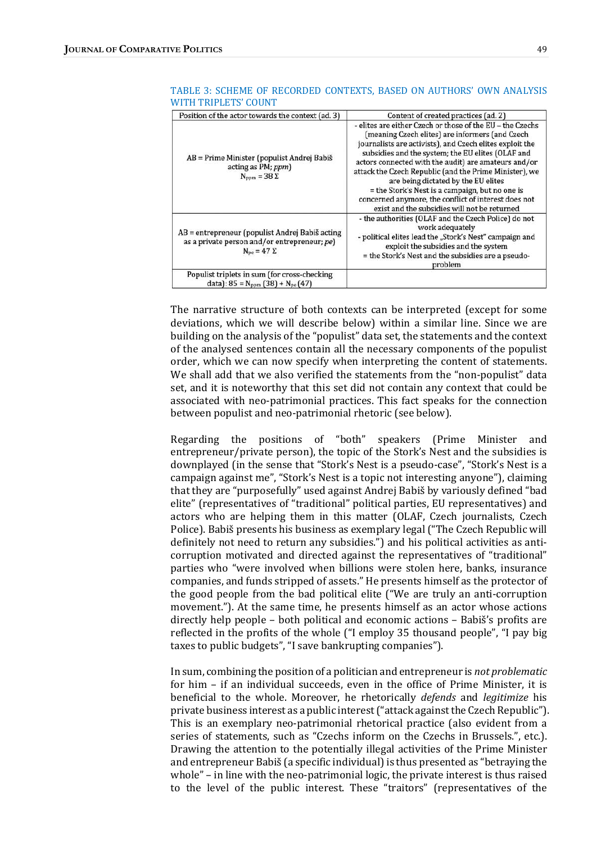| Position of the actor towards the context (ad. 3)                                                                              | Content of created practices (ad. 2)                                                                                                                                                                                                                                                                                                                                                                                                                                                                                                              |  |  |
|--------------------------------------------------------------------------------------------------------------------------------|---------------------------------------------------------------------------------------------------------------------------------------------------------------------------------------------------------------------------------------------------------------------------------------------------------------------------------------------------------------------------------------------------------------------------------------------------------------------------------------------------------------------------------------------------|--|--|
| AB = Prime Minister (populist Andrej Babiš<br>acting as PM; ppm)<br>$N_{\text{ppm}} = 38 \Sigma$                               | - elites are either Czech or those of the EU - the Czechs<br>(meaning Czech elites) are informers (and Czech<br>journalists are activists), and Czech elites exploit the<br>subsidies and the system; the EU elites (OLAF and<br>actors connected with the audit) are amateurs and/or<br>attack the Czech Republic (and the Prime Minister), we<br>are being dictated by the EU elites<br>= the Stork's Nest is a campaign, but no one is<br>concerned anymore, the conflict of interest does not<br>exist and the subsidies will not be returned |  |  |
| AB = entrepreneur (populist Andrej Babiš acting<br>as a private person and/or entrepreneur; pe)<br>$N_{\text{pe}} = 47 \Sigma$ | - the authorities (OLAF and the Czech Police) do not<br>work adequately<br>- political elites lead the "Stork's Nest" campaign and<br>exploit the subsidies and the system<br>= the Stork's Nest and the subsidies are a pseudo-<br>problem                                                                                                                                                                                                                                                                                                       |  |  |
| Populist triplets in sum (for cross-checking<br>data): $85 = N_{\text{ppm}}(38) + N_{\text{pe}}(47)$                           |                                                                                                                                                                                                                                                                                                                                                                                                                                                                                                                                                   |  |  |

#### TABLE 3: SCHEME OF RECORDED CONTEXTS, BASED ON AUTHORS' OWN ANALYSIS WITH TRIPLETS' COUNT

The narrative structure of both contexts can be interpreted (except for some deviations, which we will describe below) within a similar line. Since we are building on the analysis of the "populist" data set, the statements and the context of the analysed sentences contain all the necessary components of the populist order, which we can now specify when interpreting the content of statements. We shall add that we also verified the statements from the "non-populist" data set, and it is noteworthy that this set did not contain any context that could be associated with neo-patrimonial practices. This fact speaks for the connection between populist and neo-patrimonial rhetoric (see below).

Regarding the positions of "both" speakers (Prime Minister and entrepreneur/private person), the topic of the Stork's Nest and the subsidies is downplayed (in the sense that "Stork's Nest is a pseudo-case", "Stork's Nest is a campaign against me", "Stork's Nest is a topic not interesting anyone"), claiming that they are "purposefully" used against Andrej Babiš by variously defined "bad elite" (representatives of "traditional" political parties, EU representatives) and actors who are helping them in this matter (OLAF, Czech journalists, Czech Police). Babiš presents his business as exemplary legal ("The Czech Republic will definitely not need to return any subsidies.") and his political activities as anticorruption motivated and directed against the representatives of "traditional" parties who "were involved when billions were stolen here, banks, insurance companies, and funds stripped of assets." He presents himself as the protector of the good people from the bad political elite ("We are truly an anti-corruption movement."). At the same time, he presents himself as an actor whose actions directly help people – both political and economic actions – Babiš's profits are reflected in the profits of the whole  $($ "I employ 35 thousand people", "I pay big taxes to public budgets", "I save bankrupting companies").

In sum, combining the position of a politician and entrepreneur is not problematic for  $him - if an individual succeeds, even in the office of Prime Minister, it is$ beneficial to the whole. Moreover, he rhetorically *defends* and *legitimize* his private business interest as a public interest ("attack against the Czech Republic"). This is an exemplary neo-patrimonial rhetorical practice (also evident from a series of statements, such as "Czechs inform on the Czechs in Brussels.", etc.). Drawing the attention to the potentially illegal activities of the Prime Minister and entrepreneur Babiš (a specific individual) is thus presented as "betraying the whole"  $-$  in line with the neo-patrimonial logic, the private interest is thus raised to the level of the public interest. These "traitors" (representatives of the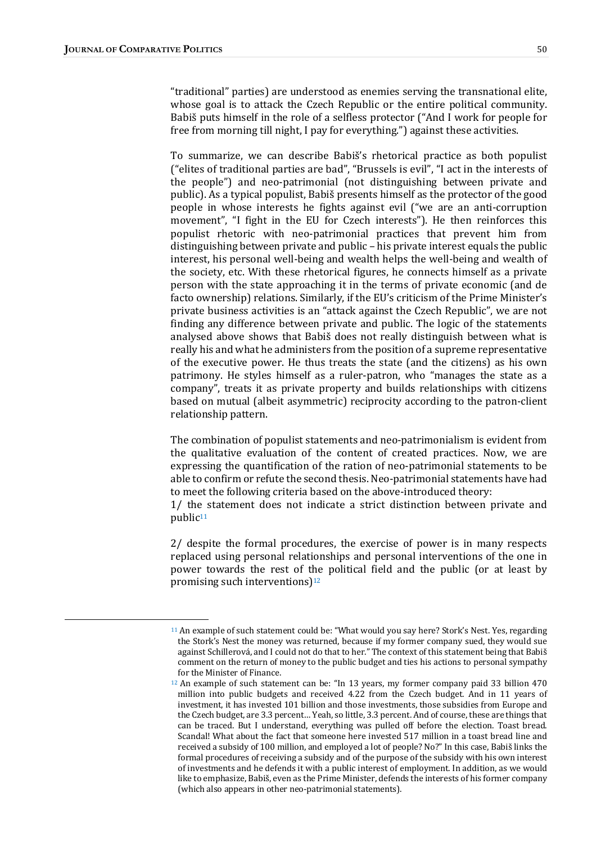"traditional" parties) are understood as enemies serving the transnational elite, whose goal is to attack the Czech Republic or the entire political community. Babiš puts himself in the role of a selfless protector ("And I work for people for free from morning till night, I pay for everything.") against these activities.

To summarize, we can describe Babiš's rhetorical practice as both populist ("elites of traditional parties are bad", "Brussels is evil", "I act in the interests of the people") and neo-patrimonial (not distinguishing between private and public). As a typical populist, Babiš presents himself as the protector of the good people in whose interests he fights against evil ("we are an anti-corruption movement", "I fight in the EU for Czech interests"). He then reinforces this populist rhetoric with neo-patrimonial practices that prevent him from distinguishing between private and public – his private interest equals the public interest, his personal well-being and wealth helps the well-being and wealth of the society, etc. With these rhetorical figures, he connects himself as a private person with the state approaching it in the terms of private economic (and de facto ownership) relations. Similarly, if the EU's criticism of the Prime Minister's private business activities is an "attack against the Czech Republic", we are not finding any difference between private and public. The logic of the statements analysed above shows that Babiš does not really distinguish between what is really his and what he administers from the position of a supreme representative of the executive power. He thus treats the state (and the citizens) as his own patrimony. He styles himself as a ruler-patron, who "manages the state as a company", treats it as private property and builds relationships with citizens based on mutual (albeit asymmetric) reciprocity according to the patron-client relationship pattern.

The combination of populist statements and neo-patrimonialism is evident from the qualitative evaluation of the content of created practices. Now, we are expressing the quantification of the ration of neo-patrimonial statements to be able to confirm or refute the second thesis. Neo-patrimonial statements have had to meet the following criteria based on the above-introduced theory:

 $1/$  the statement does not indicate a strict distinction between private and public<sup>11</sup>

 $2/$  despite the formal procedures, the exercise of power is in many respects replaced using personal relationships and personal interventions of the one in power towards the rest of the political field and the public (or at least by promising such interventions) $12$ 

<sup>&</sup>lt;sup>11</sup> An example of such statement could be: "What would you say here? Stork's Nest. Yes, regarding the Stork's Nest the money was returned, because if my former company sued, they would sue against Schillerová, and I could not do that to her." The context of this statement being that Babiš comment on the return of money to the public budget and ties his actions to personal sympathy for the Minister of Finance.

 $12$  An example of such statement can be: "In 13 years, my former company paid 33 billion 470 million into public budgets and received 4.22 from the Czech budget. And in 11 years of investment, it has invested 101 billion and those investments, those subsidies from Europe and the Czech budget, are 3.3 percent... Yeah, so little, 3.3 percent. And of course, these are things that can be traced. But I understand, everything was pulled off before the election. Toast bread. Scandal! What about the fact that someone here invested 517 million in a toast bread line and received a subsidy of 100 million, and employed a lot of people? No?" In this case, Babiš links the formal procedures of receiving a subsidy and of the purpose of the subsidy with his own interest of investments and he defends it with a public interest of employment. In addition, as we would like to emphasize, Babiš, even as the Prime Minister, defends the interests of his former company (which also appears in other neo-patrimonial statements).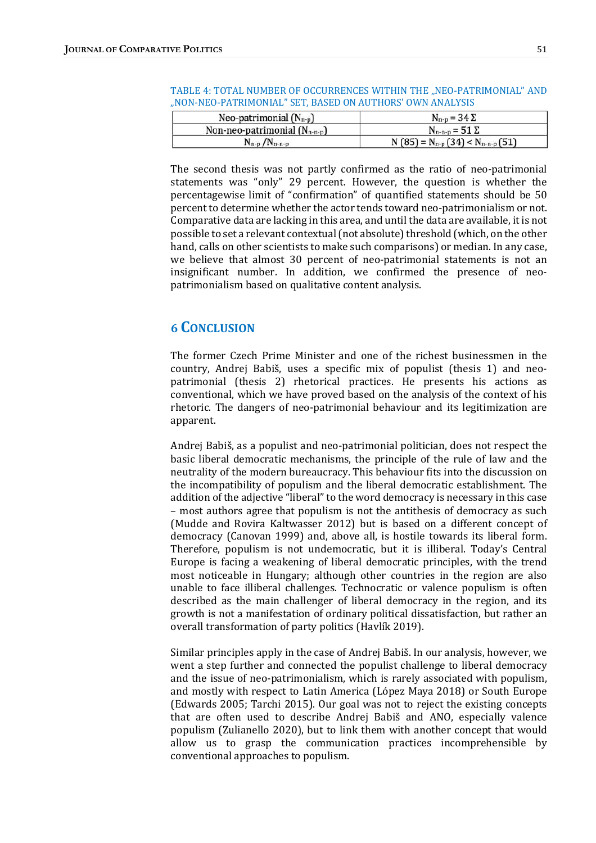| Neo-patrimonial $(N_{n-p})$       | $N_{\rm n-p} = 34 \Sigma$                  |  |  |
|-----------------------------------|--------------------------------------------|--|--|
| Non-neo-patrimonial $(N_{n-n-p})$ | $N_{n-n-p} = 51 \Sigma$                    |  |  |
| $N_{n-p}/N_{n-n-p}$               | N (85) = $N_{n-p}$ (34) < $N_{n-n-p}$ (51) |  |  |

| TABLE 4: TOTAL NUMBER OF OCCURRENCES WITHIN THE "NEO-PATRIMONIAL" AND |  |  |
|-----------------------------------------------------------------------|--|--|
| "NON-NEO-PATRIMONIAL" SET, BASED ON AUTHORS' OWN ANALYSIS             |  |  |

The second thesis was not partly confirmed as the ratio of neo-patrimonial statements was "only" 29 percent. However, the question is whether the percentagewise limit of "confirmation" of quantified statements should be 50 percent to determine whether the actor tends toward neo-patrimonialism or not. Comparative data are lacking in this area, and until the data are available, it is not possible to set a relevant contextual (not absolute) threshold (which, on the other hand, calls on other scientists to make such comparisons) or median. In any case, we believe that almost 30 percent of neo-patrimonial statements is not an insignificant number. In addition, we confirmed the presence of neopatrimonialism based on qualitative content analysis.

# **6 CONCLUSION**

The former Czech Prime Minister and one of the richest businessmen in the country, Andrej Babiš, uses a specific mix of populist (thesis 1) and neopatrimonial (thesis 2) rhetorical practices. He presents his actions as conventional, which we have proved based on the analysis of the context of his rhetoric. The dangers of neo-patrimonial behaviour and its legitimization are apparent.

Andrej Babiš, as a populist and neo-patrimonial politician, does not respect the basic liberal democratic mechanisms, the principle of the rule of law and the neutrality of the modern bureaucracy. This behaviour fits into the discussion on the incompatibility of populism and the liberal democratic establishment. The addition of the adjective "liberal" to the word democracy is necessary in this case – most authors agree that populism is not the antithesis of democracy as such (Mudde and Rovira Kaltwasser 2012) but is based on a different concept of democracy (Canovan 1999) and, above all, is hostile towards its liberal form. Therefore, populism is not undemocratic, but it is illiberal. Today's Central Europe is facing a weakening of liberal democratic principles, with the trend most noticeable in Hungary; although other countries in the region are also unable to face illiberal challenges. Technocratic or valence populism is often described as the main challenger of liberal democracy in the region, and its growth is not a manifestation of ordinary political dissatisfaction, but rather an overall transformation of party politics (Havlík 2019).

Similar principles apply in the case of Andrej Babiš. In our analysis, however, we went a step further and connected the populist challenge to liberal democracy and the issue of neo-patrimonialism, which is rarely associated with populism, and mostly with respect to Latin America (López Maya 2018) or South Europe (Edwards 2005; Tarchi 2015). Our goal was not to reject the existing concepts that are often used to describe Andrej Babiš and ANO, especially valence populism (Zulianello 2020), but to link them with another concept that would allow us to grasp the communication practices incomprehensible by conventional approaches to populism.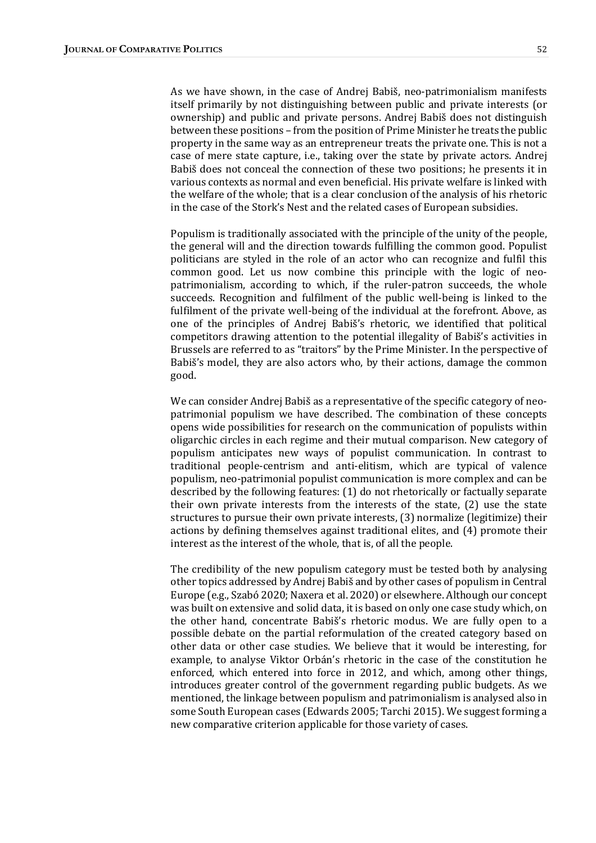As we have shown, in the case of Andrej Babiš, neo-patrimonialism manifests itself primarily by not distinguishing between public and private interests (or ownership) and public and private persons. Andrej Babiš does not distinguish between these positions – from the position of Prime Minister he treats the public property in the same way as an entrepreneur treats the private one. This is not a case of mere state capture, i.e., taking over the state by private actors. Andrej Babiš does not conceal the connection of these two positions; he presents it in various contexts as normal and even beneficial. His private welfare is linked with the welfare of the whole; that is a clear conclusion of the analysis of his rhetoric in the case of the Stork's Nest and the related cases of European subsidies.

Populism is traditionally associated with the principle of the unity of the people, the general will and the direction towards fulfilling the common good. Populist politicians are styled in the role of an actor who can recognize and fulfil this common good. Let us now combine this principle with the logic of neopatrimonialism, according to which, if the ruler-patron succeeds, the whole succeeds. Recognition and fulfilment of the public well-being is linked to the fulfilment of the private well-being of the individual at the forefront. Above, as one of the principles of Andrej Babiš's rhetoric, we identified that political competitors drawing attention to the potential illegality of Babiš's activities in Brussels are referred to as "traitors" by the Prime Minister. In the perspective of Babiš's model, they are also actors who, by their actions, damage the common good.

We can consider Andrei Babiš as a representative of the specific category of neopatrimonial populism we have described. The combination of these concepts opens wide possibilities for research on the communication of populists within oligarchic circles in each regime and their mutual comparison. New category of populism anticipates new ways of populist communication. In contrast to traditional people-centrism and anti-elitism, which are typical of valence populism, neo-patrimonial populist communication is more complex and can be described by the following features: (1) do not rhetorically or factually separate their own private interests from the interests of the state,  $(2)$  use the state structures to pursue their own private interests, (3) normalize (legitimize) their actions by defining themselves against traditional elites, and (4) promote their interest as the interest of the whole, that is, of all the people.

The credibility of the new populism category must be tested both by analysing other topics addressed by Andrej Babiš and by other cases of populism in Central Europe (e.g., Szabó 2020; Naxera et al. 2020) or elsewhere. Although our concept was built on extensive and solid data, it is based on only one case study which, on the other hand, concentrate Babiš's rhetoric modus. We are fully open to a possible debate on the partial reformulation of the created category based on other data or other case studies. We believe that it would be interesting, for example, to analyse Viktor Orbán's rhetoric in the case of the constitution he enforced, which entered into force in 2012, and which, among other things, introduces greater control of the government regarding public budgets. As we mentioned, the linkage between populism and patrimonialism is analysed also in some South European cases (Edwards 2005; Tarchi 2015). We suggest forming a new comparative criterion applicable for those variety of cases.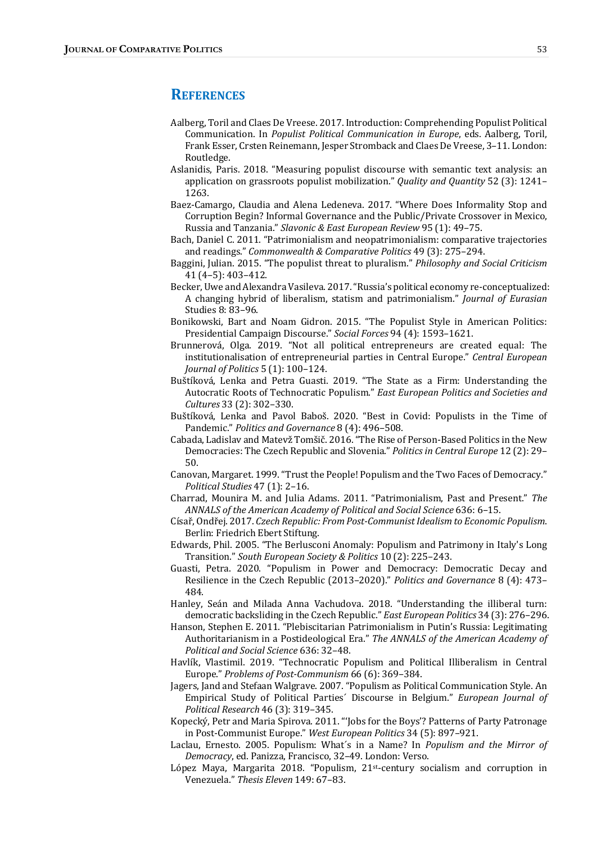## **REFERENCES**

- Aalberg, Toril and Claes De Vreese. 2017. Introduction: Comprehending Populist Political Communication. In *Populist Political Communication* in *Europe*, eds. Aalberg, Toril, Frank Esser, Crsten Reinemann, Jesper Stromback and Claes De Vreese, 3-11. London: Routledge.
- Aslanidis, Paris. 2018. "Measuring populist discourse with semantic text analysis: an application on grassroots populist mobilization." *Quality and Quantity* 52 (3):  $1241-$ 1263.
- Baez-Camargo, Claudia and Alena Ledeneva. 2017. "Where Does Informality Stop and Corruption Begin? Informal Governance and the Public/Private Crossover in Mexico, Russia and Tanzania." Slavonic & East European Review 95 (1): 49-75.
- Bach, Daniel C. 2011. "Patrimonialism and neopatrimonialism: comparative trajectories and readings." Commonwealth & Comparative Politics 49 (3): 275-294.
- Baggini, Julian. 2015. "The populist threat to pluralism." *Philosophy and Social Criticism*  $41(4-5): 403-412.$
- Becker, Uwe and Alexandra Vasileva. 2017. "Russia's political economy re-conceptualized: A changing hybrid of liberalism, statism and patrimonialism." Journal of Eurasian Studies 8: 83-96.
- Bonikowski, Bart and Noam Gidron. 2015. "The Populist Style in American Politics: Presidential Campaign Discourse." Social Forces 94 (4): 1593-1621.
- Brunnerová, Olga. 2019. "Not all political entrepreneurs are created equal: The institutionalisation of entrepreneurial parties in Central Europe." Central European Journal of Politics 5 (1): 100-124.
- Buštíková, Lenka and Petra Guasti. 2019. "The State as a Firm: Understanding the Autocratic Roots of Technocratic Populism." East European Politics and Societies and Cultures 33 (2): 302-330.
- Buštíková, Lenka and Pavol Baboš. 2020. "Best in Covid: Populists in the Time of Pandemic." Politics and Governance 8 (4): 496-508.
- Cabada, Ladislav and Matevž Tomšič. 2016. "The Rise of Person-Based Politics in the New Democracies: The Czech Republic and Slovenia." *Politics in Central Europe* 12 (2): 29– 50.
- Canovan, Margaret. 1999. "Trust the People! Populism and the Two Faces of Democracy." Political Studies 47 (1): 2-16.
- Charrad, Mounira M. and Julia Adams. 2011. "Patrimonialism, Past and Present." The ANNALS of the American Academy of Political and Social Science 636: 6-15.
- Císař, Ondřej. 2017. Czech Republic: From Post-Communist Idealism to Economic Populism. Berlin: Friedrich Ebert Stiftung.
- Edwards, Phil. 2005. "The Berlusconi Anomaly: Populism and Patrimony in Italy's Long Transition." South European Society & Politics 10 (2): 225-243.
- Guasti, Petra. 2020. "Populism in Power and Democracy: Democratic Decay and Resilience in the Czech Republic (2013–2020)." *Politics and Governance* 8 (4): 473– 484.
- Hanley, Seán and Milada Anna Vachudova. 2018. "Understanding the illiberal turn: democratic backsliding in the Czech Republic." East European Politics 34 (3): 276–296.
- Hanson, Stephen E. 2011. "Plebiscitarian Patrimonialism in Putin's Russia: Legitimating Authoritarianism in a Postideological Era." The ANNALS of the American Academy of Political and Social Science 636: 32-48.
- Havlík, Vlastimil. 2019. "Technocratic Populism and Political Illiberalism in Central Europe." Problems of Post-Communism 66 (6): 369-384.
- Jagers, Jand and Stefaan Walgrave. 2007. "Populism as Political Communication Style. An Empirical Study of Political Parties' Discourse in Belgium." European Journal of Political Research 46 (3): 319-345.
- Kopecký, Petr and Maria Spirova. 2011. "Jobs for the Boys'? Patterns of Party Patronage in Post-Communist Europe." West European Politics 34 (5): 897-921.
- Laclau, Ernesto. 2005. Populism: What's in a Name? In *Populism and the Mirror of* Democracy, ed. Panizza, Francisco, 32-49. London: Verso.
- López Maya, Margarita 2018. "Populism,  $21st$ -century socialism and corruption in Venezuela." Thesis Eleven 149: 67-83.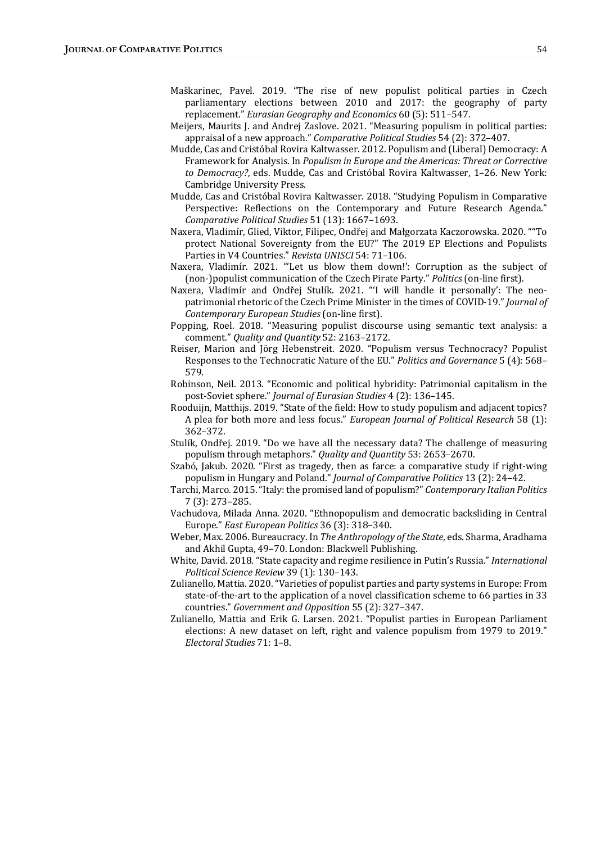- Maškarinec, Pavel. 2019. "The rise of new populist political parties in Czech parliamentary elections between 2010 and 2017: the geography of party replacement." Eurasian Geography and Economics 60 (5): 511-547.
- Meijers, Maurits J. and Andrej Zaslove. 2021. "Measuring populism in political parties: appraisal of a new approach." Comparative Political Studies 54 (2): 372-407.
- Mudde, Cas and Cristóbal Rovira Kaltwasser. 2012. Populism and (Liberal) Democracy: A Framework for Analysis. In Populism in Europe and the Americas: Threat or Corrective to Democracy?, eds. Mudde, Cas and Cristóbal Rovira Kaltwasser, 1-26. New York: Cambridge University Press.
- Mudde, Cas and Cristóbal Rovira Kaltwasser. 2018. "Studying Populism in Comparative Perspective: Reflections on the Contemporary and Future Research Agenda." Comparative Political Studies 51 (13): 1667-1693.
- Naxera, Vladimír, Glied, Viktor, Filipec, Ondřej and Małgorzata Kaczorowska. 2020. ""To protect National Sovereignty from the EU?" The 2019 EP Elections and Populists Parties in V4 Countries." Revista UNISCI 54: 71-106.
- Naxera, Vladimír. 2021. "'Let us blow them down!': Corruption as the subject of (non-)populist communication of the Czech Pirate Party." Politics (on-line first).
- Naxera, Vladimír and Ondřej Stulík. 2021. "'I will handle it personally': The neopatrimonial rhetoric of the Czech Prime Minister in the times of COVID-19." Journal of Contemporary European Studies (on-line first).
- Popping, Roel. 2018. "Measuring populist discourse using semantic text analysis: a comment." Quality and Quantity 52: 2163-2172.
- Reiser, Marion and Jörg Hebenstreit. 2020. "Populism versus Technocracy? Populist Responses to the Technocratic Nature of the EU." Politics and Governance 5 (4): 568– 579.
- Robinson, Neil. 2013. "Economic and political hybridity: Patrimonial capitalism in the post-Soviet sphere." Journal of Eurasian Studies 4 (2): 136-145.
- Rooduijn, Matthijs. 2019. "State of the field: How to study populism and adjacent topics? A plea for both more and less focus." European Journal of Political Research 58 (1): 362–372.
- Stulík, Ondřej. 2019. "Do we have all the necessary data? The challenge of measuring populism through metaphors." Quality and Quantity 53: 2653-2670.
- Szabó, Jakub. 2020. "First as tragedy, then as farce: a comparative study if right-wing populism in Hungary and Poland." Journal of Comparative Politics 13 (2): 24-42.
- Tarchi, Marco. 2015. "Italy: the promised land of populism?" Contemporary Italian Politics 7 (3): 273–285.
- Vachudova, Milada Anna. 2020. "Ethnopopulism and democratic backsliding in Central Europe." East European Politics 36 (3): 318-340.
- Weber, Max. 2006. Bureaucracy. In The Anthropology of the State, eds. Sharma, Aradhama and Akhil Gupta, 49-70. London: Blackwell Publishing.
- White, David. 2018. "State capacity and regime resilience in Putin's Russia." International Political Science Review 39 (1): 130-143.
- Zulianello, Mattia. 2020. "Varieties of populist parties and party systems in Europe: From state-of-the-art to the application of a novel classification scheme to 66 parties in 33 countries." Government and Opposition 55 (2): 327-347.
- Zulianello, Mattia and Erik G. Larsen. 2021. "Populist parties in European Parliament elections: A new dataset on left, right and valence populism from 1979 to 2019." Electoral Studies 71: 1-8.